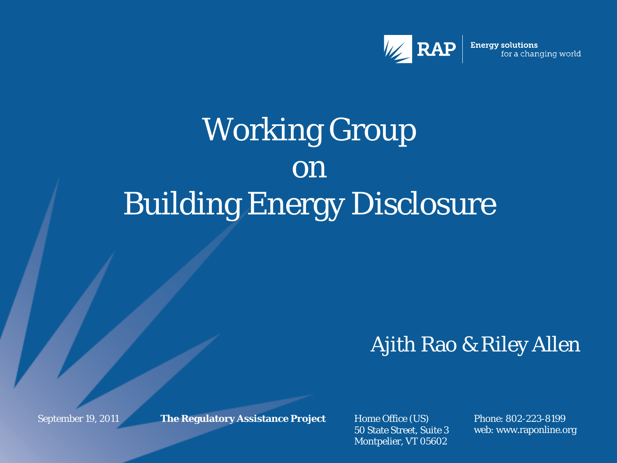

**Energy solutions** for a changing world

# Working Group on Building Energy Disclosure

#### Ajith Rao & Riley Allen

September 19, 2011

**The Regulatory Assistance Project** Home Office (US)

50 State Street, Suite 3 Montpelier, VT 05602

Phone: 802-223-8199 web: www.raponline.org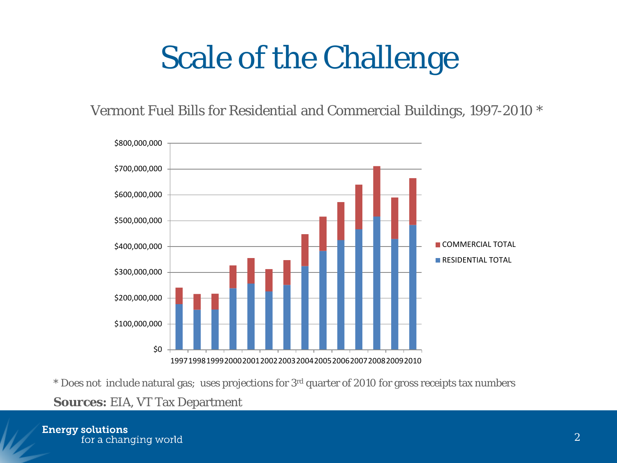# Scale of the Challenge

Vermont Fuel Bills for Residential and Commercial Buildings, 1997-2010 \*



\* Does not include natural gas; uses projections for  $3<sup>rd</sup>$  quarter of 2010 for gross receipts tax numbers

**Sources:** EIA, VT Tax Department

**Energy solutions** for a changing world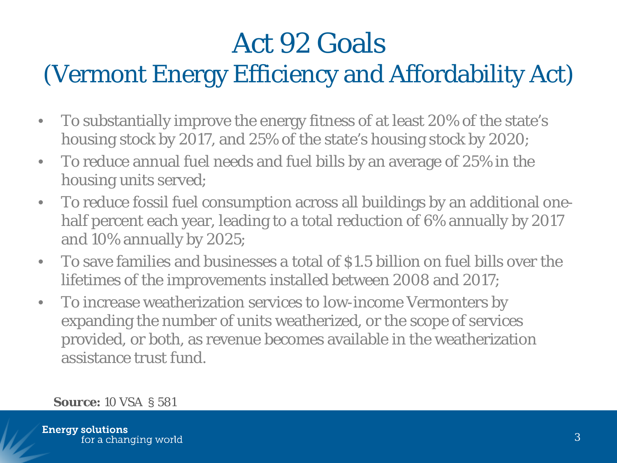### Act 92 Goals (Vermont Energy Efficiency and Affordability Act)

- To substantially improve the energy fitness of at least 20% of the state's housing stock by 2017, and 25% of the state's housing stock by 2020;
- To reduce annual fuel needs and fuel bills by an average of 25% in the housing units served;
- To reduce fossil fuel consumption across all buildings by an additional onehalf percent each year, leading to a total reduction of 6% annually by 2017 and 10% annually by 2025;
- To save families and businesses a total of \$1.5 billion on fuel bills over the lifetimes of the improvements installed between 2008 and 2017;
- To increase weatherization services to low-income Vermonters by expanding the number of units weatherized, or the scope of services provided, or both, as revenue becomes available in the weatherization assistance trust fund.

#### **Source:** 10 VSA § 581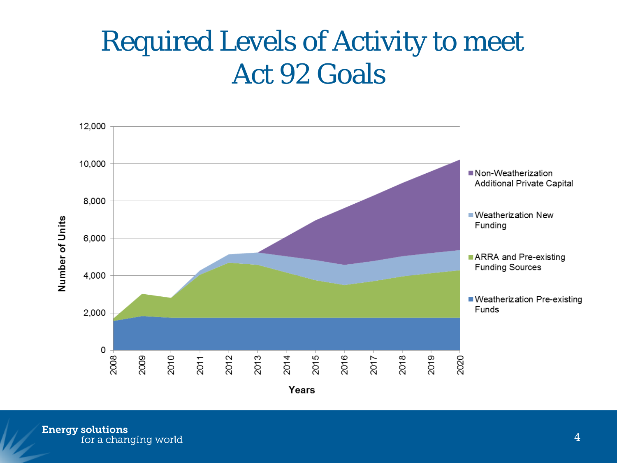#### Required Levels of Activity to meet Act 92 Goals

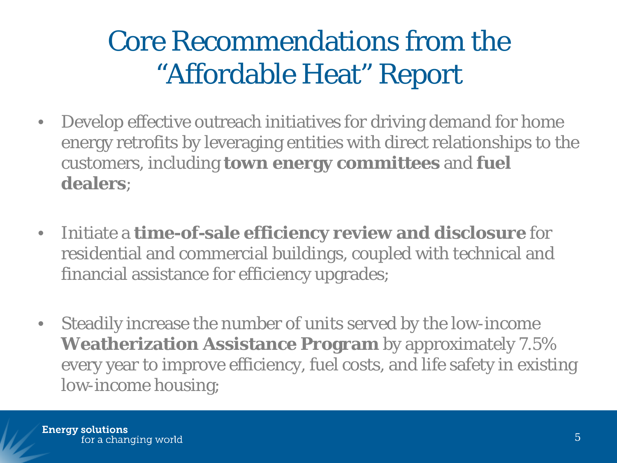### Core Recommendations from the "Affordable Heat" Report

- Develop effective outreach initiatives for driving demand for home energy retrofits by leveraging entities with direct relationships to the customers, including **town energy committees** and **fuel dealers**;
- Initiate a **time-of-sale efficiency review and disclosure** for residential and commercial buildings, coupled with technical and financial assistance for efficiency upgrades;
- Steadily increase the number of units served by the low-income **Weatherization Assistance Program** by approximately 7.5% every year to improve efficiency, fuel costs, and life safety in existing low-income housing;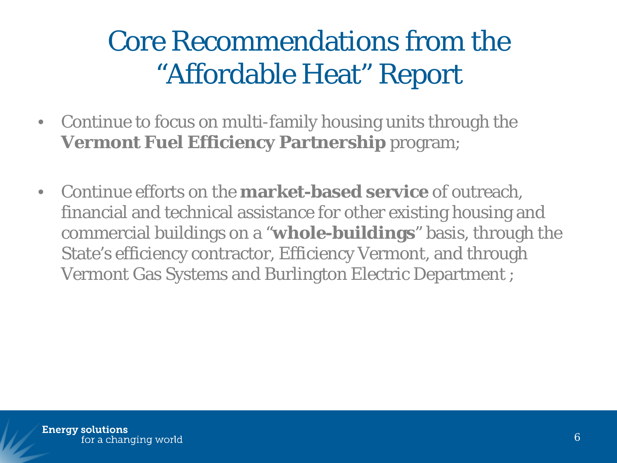### Core Recommendations from the "Affordable Heat" Report

- Continue to focus on multi-family housing units through the **Vermont Fuel Efficiency Partnership** program;
- Continue efforts on the **market-based service** of outreach, financial and technical assistance for other existing housing and commercial buildings on a "**whole-buildings**" basis, through the State's efficiency contractor, Efficiency Vermont, and through Vermont Gas Systems and Burlington Electric Department ;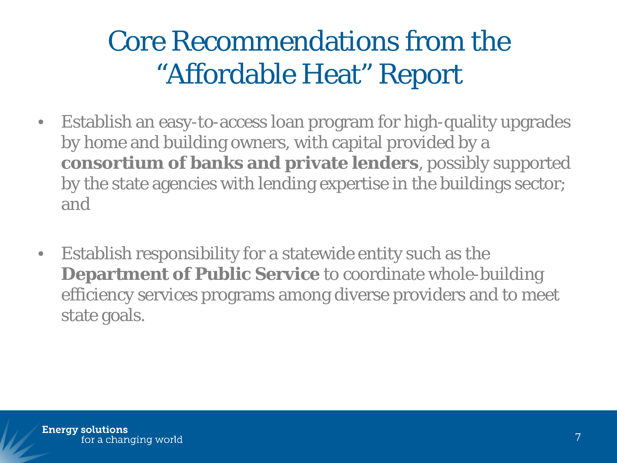### Core Recommendations from the "Affordable Heat" Report

- Establish an easy-to-access loan program for high-quality upgrades by home and building owners, with capital provided by a **consortium of banks and private lenders**, possibly supported by the state agencies with lending expertise in the buildings sector; and
- Establish responsibility for a statewide entity such as the **Department of Public Service** to coordinate whole-building efficiency services programs among diverse providers and to meet state goals.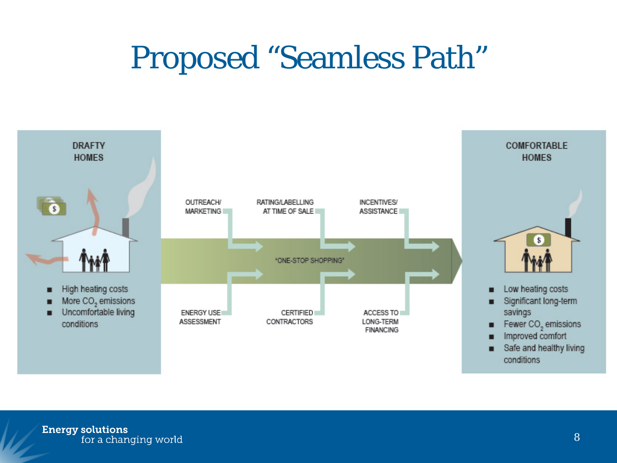## Proposed "Seamless Path"

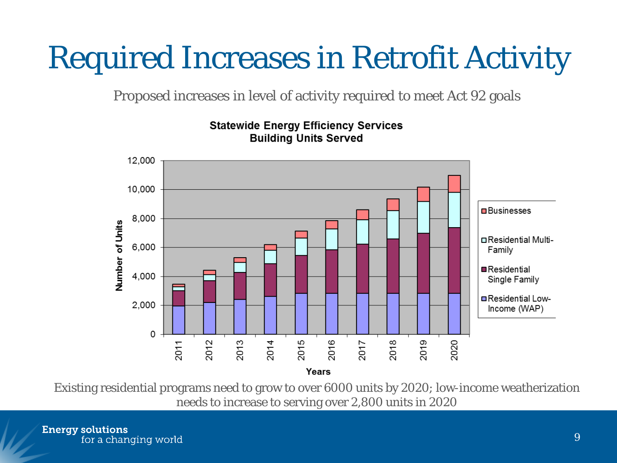# Required Increases in Retrofit Activity

Proposed increases in level of activity required to meet Act 92 goals



#### **Statewide Energy Efficiency Services Building Units Served**

Existing residential programs need to grow to over 6000 units by 2020; low-income weatherization needs to increase to serving over 2,800 units in 2020

**Energy solutions** for a changing world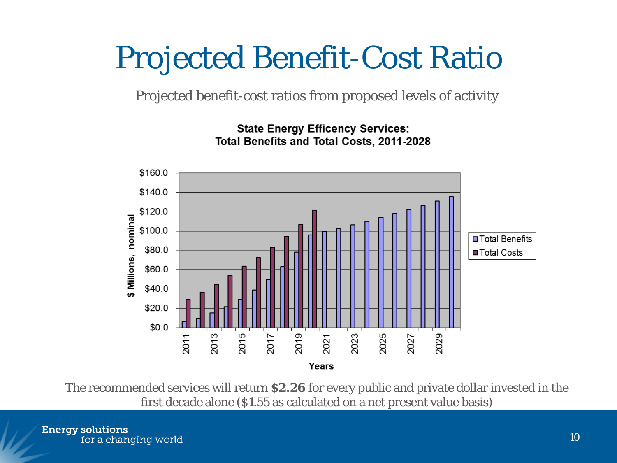## Projected Benefit-Cost Ratio

Projected benefit-cost ratios from proposed levels of activity



**State Energy Efficency Services:** Total Benefits and Total Costs, 2011-2028

The recommended services will return **\$2.26** for every public and private dollar invested in the first decade alone (\$1.55 as calculated on a net present value basis)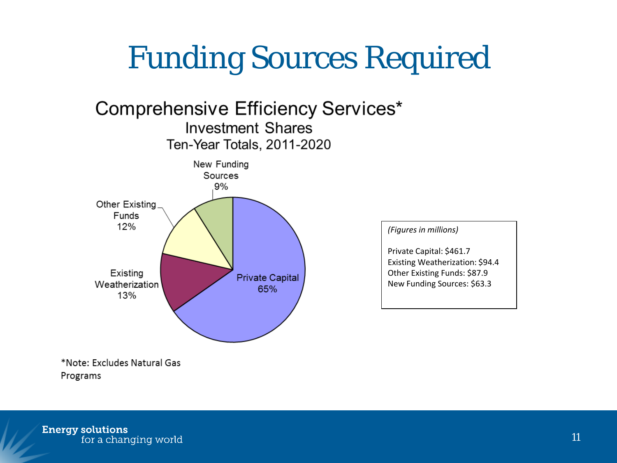# Funding Sources Required



\*Note: Excludes Natural Gas Programs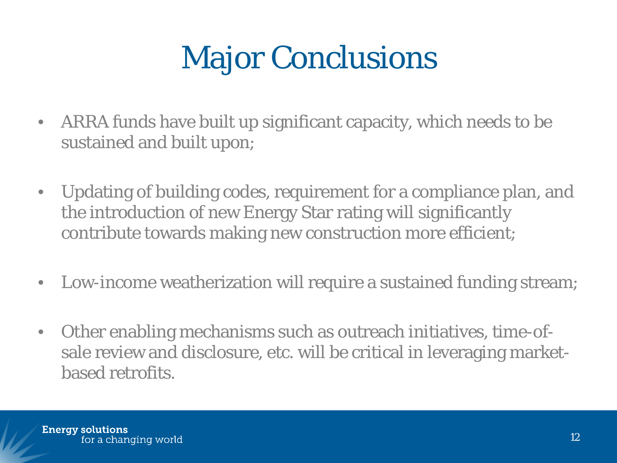# **Major Conclusions**

- ARRA funds have built up significant capacity, which needs to be sustained and built upon;
- Updating of building codes, requirement for a compliance plan, and the introduction of new Energy Star rating will significantly contribute towards making new construction more efficient;
- Low-income weatherization will require a sustained funding stream;
- Other enabling mechanisms such as outreach initiatives, time-ofsale review and disclosure, etc. will be critical in leveraging marketbased retrofits.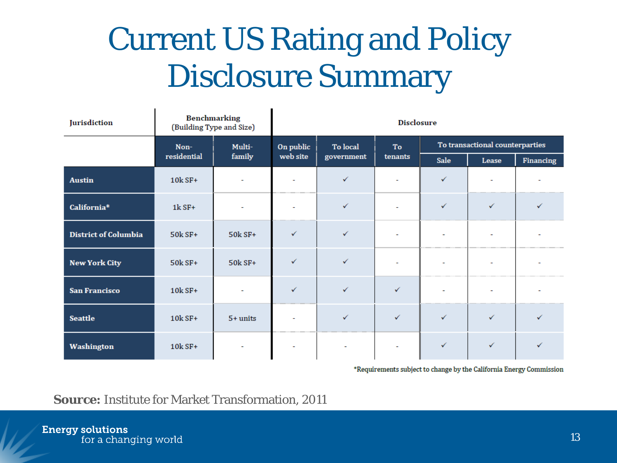# Current US Rating and Policy Disclosure Summary

 $\blacksquare$ 

| Jurisdiction                |             | <b>Benchmarking</b><br>(Building Type and Size) | <b>Disclosure</b> |              |              |                                 |       |           |
|-----------------------------|-------------|-------------------------------------------------|-------------------|--------------|--------------|---------------------------------|-------|-----------|
|                             | Non-        | Multi-                                          | On public         | To local     | To           | To transactional counterparties |       |           |
|                             | residential | family                                          | web site          | government   | tenants      | Sale                            | Lease | Financing |
| <b>Austin</b>               | 10k SF+     | $\overline{\phantom{a}}$                        |                   | ✓            |              | ✓                               |       |           |
| California*                 | $1k$ SF+    | $\overline{\phantom{a}}$                        |                   | ✓            |              | ✓                               | ✓     | ✓         |
| <b>District of Columbia</b> | $50k$ SF+   | 50k SF+                                         | ✓                 | $\checkmark$ |              | $\sim$                          |       |           |
| <b>New York City</b>        | 50k SF+     | 50k SF+                                         | ✓                 | $\checkmark$ |              | $\tilde{\phantom{a}}$           |       |           |
| <b>San Francisco</b>        | $10k$ SF+   |                                                 | ✓                 | $\checkmark$ | ✓            | $\overline{a}$                  |       |           |
| <b>Seattle</b>              | $10k$ SF+   | $5+$ units                                      |                   | ✓            | $\checkmark$ | ✓                               | ✓     | ✓         |
| Washington                  | $10k$ SF+   | $\overline{a}$                                  |                   |              |              | ✓                               | ✓     |           |

\*Requirements subject to change by the California Energy Commission

#### **Source:** Institute for Market Transformation, 2011

 $\blacksquare$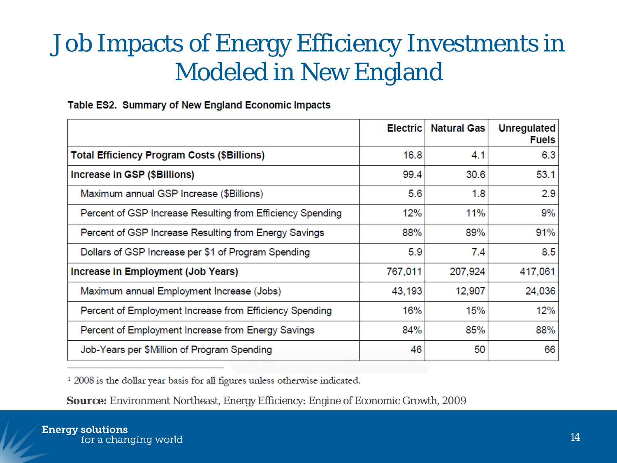#### Job Impacts of Energy Efficiency Investments in Modeled in New England

#### Table ES2. Summary of New England Economic Impacts

|                                                            | <b>Electric</b> | <b>Natural Gas</b> | <b>Unregulated</b><br><b>Fuels</b> |
|------------------------------------------------------------|-----------------|--------------------|------------------------------------|
| <b>Total Efficiency Program Costs (\$Billions)</b>         | 16.8            | 4.1                | 6.3                                |
| Increase in GSP (\$Billions)                               | 99.4            | 30.6               | 53.1                               |
| Maximum annual GSP Increase (\$Billions)                   | 5.6             | 1.8                | 2.9                                |
| Percent of GSP Increase Resulting from Efficiency Spending | 12%             | 11%                | 9%                                 |
| Percent of GSP Increase Resulting from Energy Savings      | 88%             | 89%                | 91%                                |
| Dollars of GSP Increase per \$1 of Program Spending        | 5.9             | 7.4                | 8.5                                |
| Increase in Employment (Job Years)                         | 767,011         | 207,924            | 417,061                            |
| Maximum annual Employment Increase (Jobs)                  | 43,193          | 12,907             | 24,036                             |
| Percent of Employment Increase from Efficiency Spending    | 16%             | 15%                | 12%                                |
| Percent of Employment Increase from Energy Savings         | 84%             | 85%                | 88%                                |
| Job-Years per \$Million of Program Spending                | 46              | 50                 | 66                                 |

<sup>1</sup> 2008 is the dollar year basis for all figures unless otherwise indicated.

**Source:** Environment Northeast, Energy Efficiency: Engine of Economic Growth, 2009